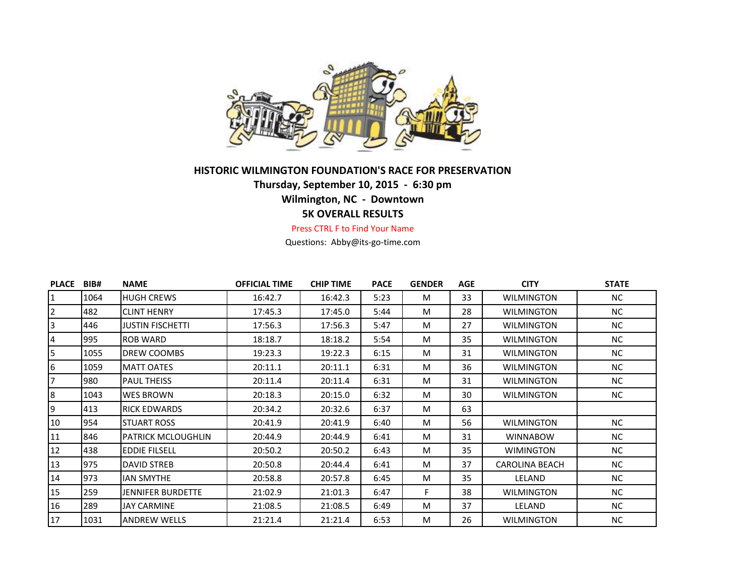

## **HISTORIC WILMINGTON FOUNDATION'S RACE FOR PRESERVATION Thursday, September 10, 2015 - 6:30 pm Wilmington, NC - Downtown**

## **5K OVERALL RESULTS**

Press CTRL F to Find Your Name

Questions: Abby@its-go-time.com

| <b>PLACE</b>   | BIB# | <b>NAME</b>               | <b>OFFICIAL TIME</b> | <b>CHIP TIME</b> | <b>PACE</b> | <b>GENDER</b> | AGE | <b>CITY</b>           | <b>STATE</b> |
|----------------|------|---------------------------|----------------------|------------------|-------------|---------------|-----|-----------------------|--------------|
| 1              | 1064 | <b>HUGH CREWS</b>         | 16:42.7              | 16:42.3          | 5:23        | M             | 33  | <b>WILMINGTON</b>     | NC.          |
| 2              | 482  | <b>CLINT HENRY</b>        | 17:45.3              | 17:45.0          | 5:44        | M             | 28  | <b>WILMINGTON</b>     | <b>NC</b>    |
| $\mathbf{3}$   | 446  | <b>JUSTIN FISCHETTI</b>   | 17:56.3              | 17:56.3          | 5:47        | M             | 27  | <b>WILMINGTON</b>     | <b>NC</b>    |
| 4              | 995  | <b>ROB WARD</b>           | 18:18.7              | 18:18.2          | 5:54        | M             | 35  | <b>WILMINGTON</b>     | <b>NC</b>    |
| 5              | 1055 | DREW COOMBS               | 19:23.3              | 19:22.3          | 6:15        | M             | 31  | <b>WILMINGTON</b>     | NC.          |
| 6              | 1059 | <b>MATT OATES</b>         | 20:11.1              | 20:11.1          | 6:31        | M             | 36  | <b>WILMINGTON</b>     | <b>NC</b>    |
| $\overline{7}$ | 980  | PAUL THEISS               | 20:11.4              | 20:11.4          | 6:31        | M             | 31  | <b>WILMINGTON</b>     | NC.          |
| 8              | 1043 | <b>WES BROWN</b>          | 20:18.3              | 20:15.0          | 6:32        | M             | 30  | <b>WILMINGTON</b>     | <b>NC</b>    |
| 9              | 413  | <b>RICK EDWARDS</b>       | 20:34.2              | 20:32.6          | 6:37        | M             | 63  |                       |              |
| 10             | 954  | <b>STUART ROSS</b>        | 20:41.9              | 20:41.9          | 6:40        | M             | 56  | <b>WILMINGTON</b>     | <b>NC</b>    |
| 11             | 846  | <b>PATRICK MCLOUGHLIN</b> | 20:44.9              | 20:44.9          | 6:41        | M             | 31  | <b>WINNABOW</b>       | <b>NC</b>    |
| 12             | 438  | <b>EDDIE FILSELL</b>      | 20:50.2              | 20:50.2          | 6:43        | M             | 35  | <b>WIMINGTON</b>      | <b>NC</b>    |
| 13             | 975  | DAVID STREB               | 20:50.8              | 20:44.4          | 6:41        | M             | 37  | <b>CAROLINA BEACH</b> | NC.          |
| 14             | 973  | <b>IAN SMYTHE</b>         | 20:58.8              | 20:57.8          | 6:45        | M             | 35  | LELAND                | <b>NC</b>    |
| 15             | 259  | <b>JENNIFER BURDETTE</b>  | 21:02.9              | 21:01.3          | 6:47        | F.            | 38  | <b>WILMINGTON</b>     | NC.          |
| 16             | 289  | JAY CARMINE               | 21:08.5              | 21:08.5          | 6:49        | M             | 37  | LELAND                | NC.          |
| 17             | 1031 | <b>ANDREW WELLS</b>       | 21:21.4              | 21:21.4          | 6:53        | M             | 26  | <b>WILMINGTON</b>     | NC.          |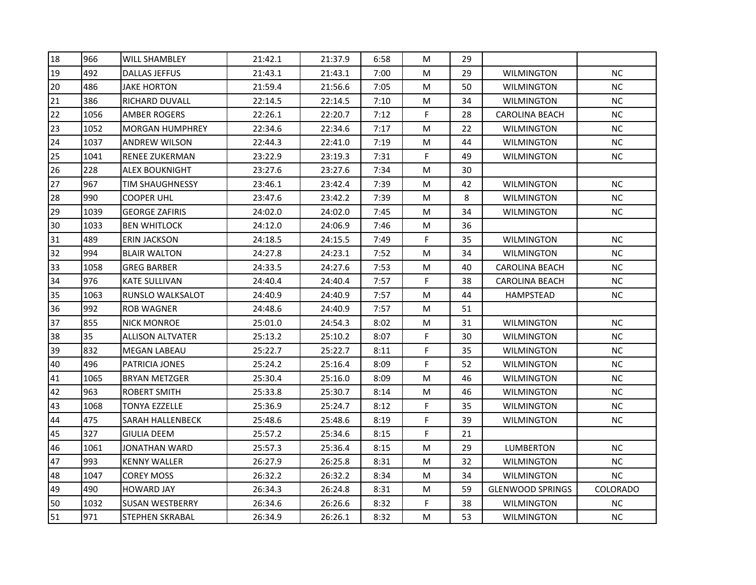| 18 | 966  | <b>WILL SHAMBLEY</b>    | 21:42.1 | 21:37.9 | 6:58 | M           | 29 |                         |           |
|----|------|-------------------------|---------|---------|------|-------------|----|-------------------------|-----------|
| 19 | 492  | <b>DALLAS JEFFUS</b>    | 21:43.1 | 21:43.1 | 7:00 | M           | 29 | <b>WILMINGTON</b>       | <b>NC</b> |
| 20 | 486  | <b>JAKE HORTON</b>      | 21:59.4 | 21:56.6 | 7:05 | M           | 50 | <b>WILMINGTON</b>       | <b>NC</b> |
| 21 | 386  | RICHARD DUVALL          | 22:14.5 | 22:14.5 | 7:10 | M           | 34 | WILMINGTON              | <b>NC</b> |
| 22 | 1056 | AMBER ROGERS            | 22:26.1 | 22:20.7 | 7:12 | F           | 28 | <b>CAROLINA BEACH</b>   | $NC$      |
| 23 | 1052 | <b>MORGAN HUMPHREY</b>  | 22:34.6 | 22:34.6 | 7:17 | M           | 22 | <b>WILMINGTON</b>       | NC        |
| 24 | 1037 | <b>ANDREW WILSON</b>    | 22:44.3 | 22:41.0 | 7:19 | M           | 44 | <b>WILMINGTON</b>       | NC        |
| 25 | 1041 | <b>RENEE ZUKERMAN</b>   | 23:22.9 | 23:19.3 | 7:31 | $\mathsf F$ | 49 | <b>WILMINGTON</b>       | <b>NC</b> |
| 26 | 228  | <b>ALEX BOUKNIGHT</b>   | 23:27.6 | 23:27.6 | 7:34 | M           | 30 |                         |           |
| 27 | 967  | <b>TIM SHAUGHNESSY</b>  | 23:46.1 | 23:42.4 | 7:39 | M           | 42 | <b>WILMINGTON</b>       | <b>NC</b> |
| 28 | 990  | COOPER UHL              | 23:47.6 | 23:42.2 | 7:39 | M           | 8  | <b>WILMINGTON</b>       | NC.       |
| 29 | 1039 | <b>GEORGE ZAFIRIS</b>   | 24:02.0 | 24:02.0 | 7:45 | M           | 34 | <b>WILMINGTON</b>       | NC        |
| 30 | 1033 | <b>BEN WHITLOCK</b>     | 24:12.0 | 24:06.9 | 7:46 | M           | 36 |                         |           |
| 31 | 489  | <b>ERIN JACKSON</b>     | 24:18.5 | 24:15.5 | 7:49 | F           | 35 | <b>WILMINGTON</b>       | <b>NC</b> |
| 32 | 994  | <b>BLAIR WALTON</b>     | 24:27.8 | 24:23.1 | 7:52 | M           | 34 | <b>WILMINGTON</b>       | <b>NC</b> |
| 33 | 1058 | GREG BARBER             | 24:33.5 | 24:27.6 | 7:53 | М           | 40 | CAROLINA BEACH          | <b>NC</b> |
| 34 | 976  | <b>KATE SULLIVAN</b>    | 24:40.4 | 24:40.4 | 7:57 | F           | 38 | <b>CAROLINA BEACH</b>   | NC        |
| 35 | 1063 | RUNSLO WALKSALOT        | 24:40.9 | 24:40.9 | 7:57 | M           | 44 | <b>HAMPSTEAD</b>        | NC        |
| 36 | 992  | <b>ROB WAGNER</b>       | 24:48.6 | 24:40.9 | 7:57 | M           | 51 |                         |           |
| 37 | 855  | <b>NICK MONROE</b>      | 25:01.0 | 24:54.3 | 8:02 | M           | 31 | WILMINGTON              | <b>NC</b> |
| 38 | 35   | <b>ALLISON ALTVATER</b> | 25:13.2 | 25:10.2 | 8:07 | F           | 30 | <b>WILMINGTON</b>       | NC        |
| 39 | 832  | <b>MEGAN LABEAU</b>     | 25:22.7 | 25:22.7 | 8:11 | F           | 35 | <b>WILMINGTON</b>       | NC.       |
| 40 | 496  | PATRICIA JONES          | 25:24.2 | 25:16.4 | 8:09 | F           | 52 | <b>WILMINGTON</b>       | <b>NC</b> |
| 41 | 1065 | <b>BRYAN METZGER</b>    | 25:30.4 | 25:16.0 | 8:09 | M           | 46 | <b>WILMINGTON</b>       | <b>NC</b> |
| 42 | 963  | ROBERT SMITH            | 25:33.8 | 25:30.7 | 8:14 | M           | 46 | WILMINGTON              | <b>NC</b> |
| 43 | 1068 | TONYA EZZELLE           | 25:36.9 | 25:24.7 | 8:12 | F           | 35 | <b>WILMINGTON</b>       | <b>NC</b> |
| 44 | 475  | SARAH HALLENBECK        | 25:48.6 | 25:48.6 | 8:19 | F           | 39 | <b>WILMINGTON</b>       | NC        |
| 45 | 327  | <b>GIULIA DEEM</b>      | 25:57.2 | 25:34.6 | 8:15 | F           | 21 |                         |           |
| 46 | 1061 | JONATHAN WARD           | 25:57.3 | 25:36.4 | 8:15 | M           | 29 | <b>LUMBERTON</b>        | <b>NC</b> |
| 47 | 993  | <b>KENNY WALLER</b>     | 26:27.9 | 26:25.8 | 8:31 | M           | 32 | <b>WILMINGTON</b>       | $NC$      |
| 48 | 1047 | <b>COREY MOSS</b>       | 26:32.2 | 26:32.2 | 8:34 | M           | 34 | <b>WILMINGTON</b>       | NC        |
| 49 | 490  | <b>HOWARD JAY</b>       | 26:34.3 | 26:24.8 | 8:31 | M           | 59 | <b>GLENWOOD SPRINGS</b> | COLORADO  |
| 50 | 1032 | <b>SUSAN WESTBERRY</b>  | 26:34.6 | 26:26.6 | 8:32 | F           | 38 | <b>WILMINGTON</b>       | <b>NC</b> |
| 51 | 971  | <b>STEPHEN SKRABAL</b>  | 26:34.9 | 26:26.1 | 8:32 | М           | 53 | <b>WILMINGTON</b>       | <b>NC</b> |
|    |      |                         |         |         |      |             |    |                         |           |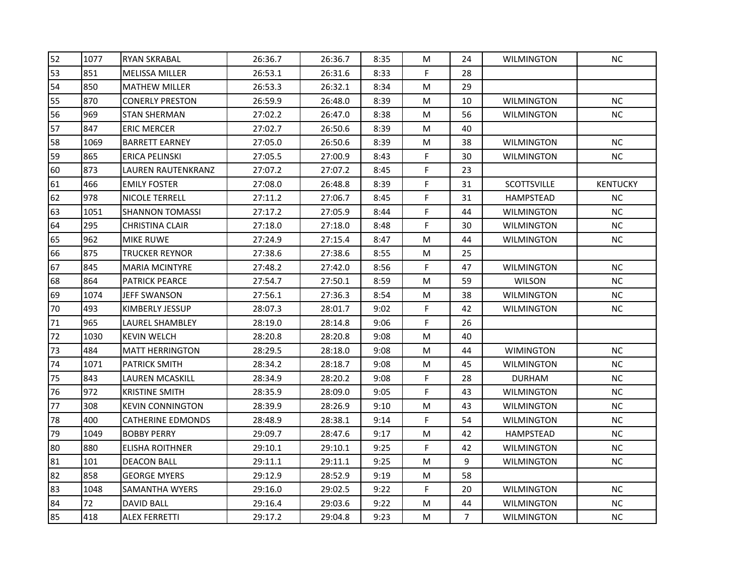| 52 | 1077 | <b>RYAN SKRABAL</b>      | 26:36.7 | 26:36.7 | 8:35 | М  | 24             | <b>WILMINGTON</b> | NC.             |
|----|------|--------------------------|---------|---------|------|----|----------------|-------------------|-----------------|
| 53 | 851  | <b>MELISSA MILLER</b>    | 26:53.1 | 26:31.6 | 8:33 | F. | 28             |                   |                 |
| 54 | 850  | <b>MATHEW MILLER</b>     | 26:53.3 | 26:32.1 | 8:34 | M  | 29             |                   |                 |
| 55 | 870  | <b>CONERLY PRESTON</b>   | 26:59.9 | 26:48.0 | 8:39 | M  | 10             | <b>WILMINGTON</b> | NC              |
| 56 | 969  | <b>STAN SHERMAN</b>      | 27:02.2 | 26:47.0 | 8:38 | м  | 56             | <b>WILMINGTON</b> | NC.             |
| 57 | 847  | <b>ERIC MERCER</b>       | 27:02.7 | 26:50.6 | 8:39 | М  | 40             |                   |                 |
| 58 | 1069 | <b>BARRETT EARNEY</b>    | 27:05.0 | 26:50.6 | 8:39 | M  | 38             | <b>WILMINGTON</b> | NС              |
| 59 | 865  | <b>ERICA PELINSKI</b>    | 27:05.5 | 27:00.9 | 8:43 | F  | 30             | <b>WILMINGTON</b> | <b>NC</b>       |
| 60 | 873  | LAUREN RAUTENKRANZ       | 27:07.2 | 27:07.2 | 8:45 | F  | 23             |                   |                 |
| 61 | 466  | <b>EMILY FOSTER</b>      | 27:08.0 | 26:48.8 | 8:39 | F  | 31             | SCOTTSVILLE       | <b>KENTUCKY</b> |
| 62 | 978  | NICOLE TERRELL           | 27:11.2 | 27:06.7 | 8:45 | F  | 31             | <b>HAMPSTEAD</b>  | NC.             |
| 63 | 1051 | <b>SHANNON TOMASSI</b>   | 27:17.2 | 27:05.9 | 8:44 | F  | 44             | <b>WILMINGTON</b> | NC.             |
| 64 | 295  | <b>CHRISTINA CLAIR</b>   | 27:18.0 | 27:18.0 | 8:48 | F  | 30             | <b>WILMINGTON</b> | $NC$            |
| 65 | 962  | MIKE RUWE                | 27:24.9 | 27:15.4 | 8:47 | м  | 44             | <b>WILMINGTON</b> | <b>NC</b>       |
| 66 | 875  | TRUCKER REYNOR           | 27:38.6 | 27:38.6 | 8:55 | M  | 25             |                   |                 |
| 67 | 845  | <b>MARIA MCINTYRE</b>    | 27:48.2 | 27:42.0 | 8:56 | F  | 47             | <b>WILMINGTON</b> | NC.             |
| 68 | 864  | <b>PATRICK PEARCE</b>    | 27:54.7 | 27:50.1 | 8:59 | M  | 59             | <b>WILSON</b>     | NC              |
| 69 | 1074 | <b>JEFF SWANSON</b>      | 27:56.1 | 27:36.3 | 8:54 | M  | 38             | <b>WILMINGTON</b> | NC              |
| 70 | 493  | KIMBERLY JESSUP          | 28:07.3 | 28:01.7 | 9:02 | F  | 42             | <b>WILMINGTON</b> | NC.             |
| 71 | 965  | LAUREL SHAMBLEY          | 28:19.0 | 28:14.8 | 9:06 | F  | 26             |                   |                 |
| 72 | 1030 | <b>KEVIN WELCH</b>       | 28:20.8 | 28:20.8 | 9:08 | M  | 40             |                   |                 |
| 73 | 484  | <b>MATT HERRINGTON</b>   | 28:29.5 | 28:18.0 | 9:08 | М  | 44             | <b>WIMINGTON</b>  | NC.             |
| 74 | 1071 | <b>PATRICK SMITH</b>     | 28:34.2 | 28:18.7 | 9:08 | M  | 45             | <b>WILMINGTON</b> | NC              |
| 75 | 843  | LAUREN MCASKILL          | 28:34.9 | 28:20.2 | 9:08 | F  | 28             | <b>DURHAM</b>     | NC.             |
| 76 | 972  | <b>KRISTINE SMITH</b>    | 28:35.9 | 28:09.0 | 9:05 | F  | 43             | <b>WILMINGTON</b> | <b>NC</b>       |
| 77 | 308  | <b>KEVIN CONNINGTON</b>  | 28:39.9 | 28:26.9 | 9:10 | M  | 43             | <b>WILMINGTON</b> | NC              |
| 78 | 400  | <b>CATHERINE EDMONDS</b> | 28:48.9 | 28:38.1 | 9:14 | F  | 54             | <b>WILMINGTON</b> | NС              |
| 79 | 1049 | <b>BOBBY PERRY</b>       | 29:09.7 | 28:47.6 | 9:17 | М  | 42             | HAMPSTEAD         | NC.             |
| 80 | 880  | <b>ELISHA ROITHNER</b>   | 29:10.1 | 29:10.1 | 9:25 | F  | 42             | <b>WILMINGTON</b> | NC              |
| 81 | 101  | <b>DEACON BALL</b>       | 29:11.1 | 29:11.1 | 9:25 | M  | 9              | <b>WILMINGTON</b> | NC              |
| 82 | 858  | <b>GEORGE MYERS</b>      | 29:12.9 | 28:52.9 | 9:19 | М  | 58             |                   |                 |
| 83 | 1048 | SAMANTHA WYERS           | 29:16.0 | 29:02.5 | 9:22 | F  | 20             | <b>WILMINGTON</b> | NC.             |
| 84 | 72   | <b>DAVID BALL</b>        | 29:16.4 | 29:03.6 | 9:22 | М  | 44             | WILMINGTON        | <b>NC</b>       |
| 85 | 418  | <b>ALEX FERRETTI</b>     | 29:17.2 | 29:04.8 | 9:23 | M  | $\overline{7}$ | <b>WILMINGTON</b> | NC              |
|    |      |                          |         |         |      |    |                |                   |                 |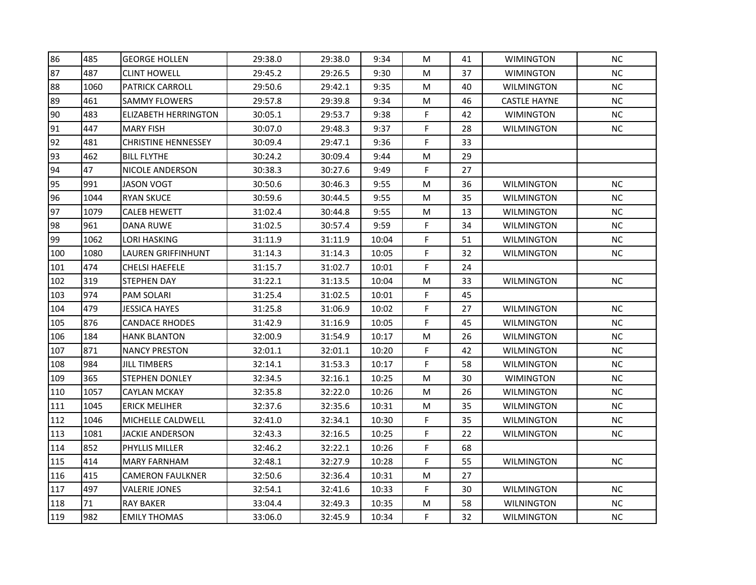| 86  | 485  | <b>GEORGE HOLLEN</b>        | 29:38.0 | 29:38.0 | 9:34  | M | 41 | <b>WIMINGTON</b>    | <b>NC</b> |
|-----|------|-----------------------------|---------|---------|-------|---|----|---------------------|-----------|
| 87  | 487  | <b>CLINT HOWELL</b>         | 29:45.2 | 29:26.5 | 9:30  | M | 37 | <b>WIMINGTON</b>    | <b>NC</b> |
| 88  | 1060 | <b>PATRICK CARROLL</b>      | 29:50.6 | 29:42.1 | 9:35  | M | 40 | <b>WILMINGTON</b>   | <b>NC</b> |
| 89  | 461  | <b>SAMMY FLOWERS</b>        | 29:57.8 | 29:39.8 | 9:34  | M | 46 | <b>CASTLE HAYNE</b> | NC        |
| 90  | 483  | <b>ELIZABETH HERRINGTON</b> | 30:05.1 | 29:53.7 | 9:38  | F | 42 | <b>WIMINGTON</b>    | $NC$      |
| 91  | 447  | <b>MARY FISH</b>            | 30:07.0 | 29:48.3 | 9:37  | F | 28 | <b>WILMINGTON</b>   | NC        |
| 92  | 481  | <b>CHRISTINE HENNESSEY</b>  | 30:09.4 | 29:47.1 | 9:36  | F | 33 |                     |           |
| 93  | 462  | <b>BILL FLYTHE</b>          | 30:24.2 | 30:09.4 | 9:44  | м | 29 |                     |           |
| 94  | 47   | <b>NICOLE ANDERSON</b>      | 30:38.3 | 30:27.6 | 9:49  | F | 27 |                     |           |
| 95  | 991  | <b>JASON VOGT</b>           | 30:50.6 | 30:46.3 | 9:55  | M | 36 | <b>WILMINGTON</b>   | NC        |
| 96  | 1044 | <b>RYAN SKUCE</b>           | 30:59.6 | 30:44.5 | 9:55  | M | 35 | <b>WILMINGTON</b>   | NC.       |
| 97  | 1079 | <b>CALEB HEWETT</b>         | 31:02.4 | 30:44.8 | 9:55  | M | 13 | <b>WILMINGTON</b>   | NC        |
| 98  | 961  | <b>DANA RUWE</b>            | 31:02.5 | 30:57.4 | 9:59  | F | 34 | <b>WILMINGTON</b>   | NC        |
| 99  | 1062 | <b>LORI HASKING</b>         | 31:11.9 | 31:11.9 | 10:04 | F | 51 | <b>WILMINGTON</b>   | NC        |
| 100 | 1080 | LAUREN GRIFFINHUNT          | 31:14.3 | 31:14.3 | 10:05 | F | 32 | <b>WILMINGTON</b>   | NC        |
| 101 | 474  | <b>CHELSI HAEFELE</b>       | 31:15.7 | 31:02.7 | 10:01 | F | 24 |                     |           |
| 102 | 319  | <b>STEPHEN DAY</b>          | 31:22.1 | 31:13.5 | 10:04 | M | 33 | WILMINGTON          | NC        |
| 103 | 974  | <b>PAM SOLARI</b>           | 31:25.4 | 31:02.5 | 10:01 | F | 45 |                     |           |
| 104 | 479  | <b>JESSICA HAYES</b>        | 31:25.8 | 31:06.9 | 10:02 | F | 27 | <b>WILMINGTON</b>   | NC        |
| 105 | 876  | <b>CANDACE RHODES</b>       | 31:42.9 | 31:16.9 | 10:05 | F | 45 | WILMINGTON          | NC        |
| 106 | 184  | <b>HANK BLANTON</b>         | 32:00.9 | 31:54.9 | 10:17 | M | 26 | <b>WILMINGTON</b>   | NC        |
| 107 | 871  | <b>NANCY PRESTON</b>        | 32:01.1 | 32:01.1 | 10:20 | F | 42 | <b>WILMINGTON</b>   | <b>NC</b> |
| 108 | 984  | <b>JILL TIMBERS</b>         | 32:14.1 | 31:53.3 | 10:17 | F | 58 | <b>WILMINGTON</b>   | NC        |
| 109 | 365  | <b>STEPHEN DONLEY</b>       | 32:34.5 | 32:16.1 | 10:25 | М | 30 | <b>WIMINGTON</b>    | <b>NC</b> |
| 110 | 1057 | <b>CAYLAN MCKAY</b>         | 32:35.8 | 32:22.0 | 10:26 | M | 26 | WILMINGTON          | NC        |
| 111 | 1045 | <b>ERICK MELIHER</b>        | 32:37.6 | 32:35.6 | 10:31 | M | 35 | <b>WILMINGTON</b>   | <b>NC</b> |
| 112 | 1046 | MICHELLE CALDWELL           | 32:41.0 | 32:34.1 | 10:30 | F | 35 | <b>WILMINGTON</b>   | NC        |
| 113 | 1081 | <b>JACKIE ANDERSON</b>      | 32:43.3 | 32:16.5 | 10:25 | F | 22 | WILMINGTON          | <b>NC</b> |
| 114 | 852  | PHYLLIS MILLER              | 32:46.2 | 32:22.1 | 10:26 | F | 68 |                     |           |
| 115 | 414  | <b>MARY FARNHAM</b>         | 32:48.1 | 32:27.9 | 10:28 | F | 55 | <b>WILMINGTON</b>   | <b>NC</b> |
| 116 | 415  | <b>CAMERON FAULKNER</b>     | 32:50.6 | 32:36.4 | 10:31 | M | 27 |                     |           |
| 117 | 497  | <b>VALERIE JONES</b>        | 32:54.1 | 32:41.6 | 10:33 | F | 30 | <b>WILMINGTON</b>   | <b>NC</b> |
| 118 | 71   | <b>RAY BAKER</b>            | 33:04.4 | 32:49.3 | 10:35 | M | 58 | <b>WILNINGTON</b>   | NC        |
| 119 | 982  | <b>EMILY THOMAS</b>         | 33:06.0 | 32:45.9 | 10:34 | F | 32 | <b>WILMINGTON</b>   | NC        |
|     |      |                             |         |         |       |   |    |                     |           |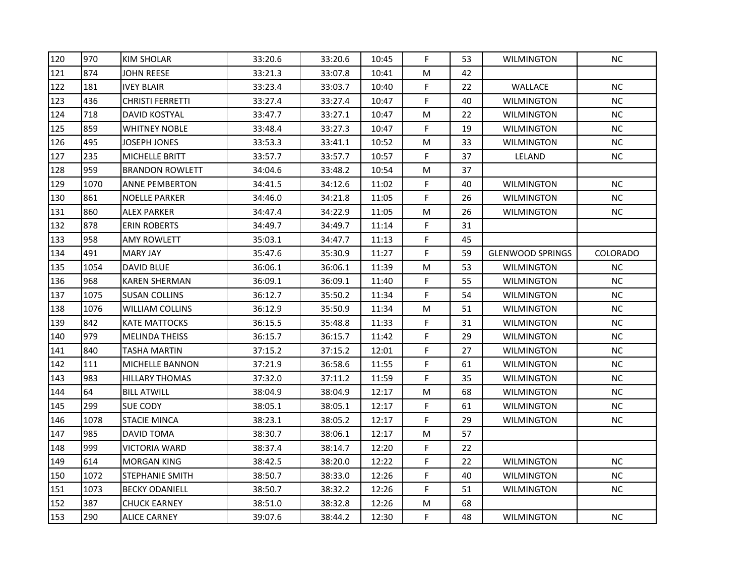| 120 | 970  | <b>KIM SHOLAR</b>      | 33:20.6 | 33:20.6 | 10:45 | F           | 53 | <b>WILMINGTON</b>       | NC.       |
|-----|------|------------------------|---------|---------|-------|-------------|----|-------------------------|-----------|
| 121 | 874  | <b>JOHN REESE</b>      | 33:21.3 | 33:07.8 | 10:41 | M           | 42 |                         |           |
| 122 | 181  | <b>IVEY BLAIR</b>      | 33:23.4 | 33:03.7 | 10:40 | F           | 22 | <b>WALLACE</b>          | <b>NC</b> |
| 123 | 436  | CHRISTI FERRETTI       | 33:27.4 | 33:27.4 | 10:47 | F           | 40 | <b>WILMINGTON</b>       | NC        |
| 124 | 718  | DAVID KOSTYAL          | 33:47.7 | 33:27.1 | 10:47 | M           | 22 | <b>WILMINGTON</b>       | $NC$      |
| 125 | 859  | <b>WHITNEY NOBLE</b>   | 33:48.4 | 33:27.3 | 10:47 | F           | 19 | WILMINGTON              | NС        |
| 126 | 495  | JOSEPH JONES           | 33:53.3 | 33:41.1 | 10:52 | M           | 33 | <b>WILMINGTON</b>       | NC        |
| 127 | 235  | MICHELLE BRITT         | 33:57.7 | 33:57.7 | 10:57 | F           | 37 | LELAND                  | NC.       |
| 128 | 959  | <b>BRANDON ROWLETT</b> | 34:04.6 | 33:48.2 | 10:54 | M           | 37 |                         |           |
| 129 | 1070 | <b>ANNE PEMBERTON</b>  | 34:41.5 | 34:12.6 | 11:02 | F           | 40 | <b>WILMINGTON</b>       | NC        |
| 130 | 861  | <b>NOELLE PARKER</b>   | 34:46.0 | 34:21.8 | 11:05 | F           | 26 | WILMINGTON              | NC.       |
| 131 | 860  | <b>ALEX PARKER</b>     | 34:47.4 | 34:22.9 | 11:05 | M           | 26 | <b>WILMINGTON</b>       | NC        |
| 132 | 878  | <b>ERIN ROBERTS</b>    | 34:49.7 | 34:49.7 | 11:14 | F           | 31 |                         |           |
| 133 | 958  | <b>AMY ROWLETT</b>     | 35:03.1 | 34:47.7 | 11:13 | F           | 45 |                         |           |
| 134 | 491  | <b>MARY JAY</b>        | 35:47.6 | 35:30.9 | 11:27 | F           | 59 | <b>GLENWOOD SPRINGS</b> | COLORADO  |
| 135 | 1054 | DAVID BLUE             | 36:06.1 | 36:06.1 | 11:39 | M           | 53 | WILMINGTON              | $NC$      |
| 136 | 968  | <b>KAREN SHERMAN</b>   | 36:09.1 | 36:09.1 | 11:40 | F           | 55 | <b>WILMINGTON</b>       | NC        |
| 137 | 1075 | <b>SUSAN COLLINS</b>   | 36:12.7 | 35:50.2 | 11:34 | $\mathsf F$ | 54 | <b>WILMINGTON</b>       | NC        |
| 138 | 1076 | <b>WILLIAM COLLINS</b> | 36:12.9 | 35:50.9 | 11:34 | M           | 51 | WILMINGTON              | NC        |
| 139 | 842  | KATE MATTOCKS          | 36:15.5 | 35:48.8 | 11:33 | F           | 31 | <b>WILMINGTON</b>       | NC        |
| 140 | 979  | <b>MELINDA THEISS</b>  | 36:15.7 | 36:15.7 | 11:42 | F           | 29 | <b>WILMINGTON</b>       | NC        |
| 141 | 840  | <b>TASHA MARTIN</b>    | 37:15.2 | 37:15.2 | 12:01 | F           | 27 | <b>WILMINGTON</b>       | <b>NC</b> |
| 142 | 111  | MICHELLE BANNON        | 37:21.9 | 36:58.6 | 11:55 | F           | 61 | <b>WILMINGTON</b>       | NC        |
| 143 | 983  | <b>HILLARY THOMAS</b>  | 37:32.0 | 37:11.2 | 11:59 | F           | 35 | <b>WILMINGTON</b>       | NC        |
| 144 | 64   | <b>BILL ATWILL</b>     | 38:04.9 | 38:04.9 | 12:17 | M           | 68 | WILMINGTON              | NС        |
| 145 | 299  | SUE CODY               | 38:05.1 | 38:05.1 | 12:17 | $\mathsf F$ | 61 | <b>WILMINGTON</b>       | NC        |
| 146 | 1078 | <b>STACIE MINCA</b>    | 38:23.1 | 38:05.2 | 12:17 | F           | 29 | <b>WILMINGTON</b>       | NС        |
| 147 | 985  | <b>DAVID TOMA</b>      | 38:30.7 | 38:06.1 | 12:17 | M           | 57 |                         |           |
| 148 | 999  | <b>VICTORIA WARD</b>   | 38:37.4 | 38:14.7 | 12:20 | F           | 22 |                         |           |
| 149 | 614  | <b>MORGAN KING</b>     | 38:42.5 | 38:20.0 | 12:22 | F           | 22 | <b>WILMINGTON</b>       | NC        |
| 150 | 1072 | <b>STEPHANIE SMITH</b> | 38:50.7 | 38:33.0 | 12:26 | F           | 40 | <b>WILMINGTON</b>       | $\sf NC$  |
| 151 | 1073 | <b>BECKY ODANIELL</b>  | 38:50.7 | 38:32.2 | 12:26 | F           | 51 | <b>WILMINGTON</b>       | NС        |
| 152 | 387  | <b>CHUCK EARNEY</b>    | 38:51.0 | 38:32.8 | 12:26 | M           | 68 |                         |           |
| 153 | 290  | <b>ALICE CARNEY</b>    | 39:07.6 | 38:44.2 | 12:30 | F           | 48 | <b>WILMINGTON</b>       | NC        |
|     |      |                        |         |         |       |             |    |                         |           |